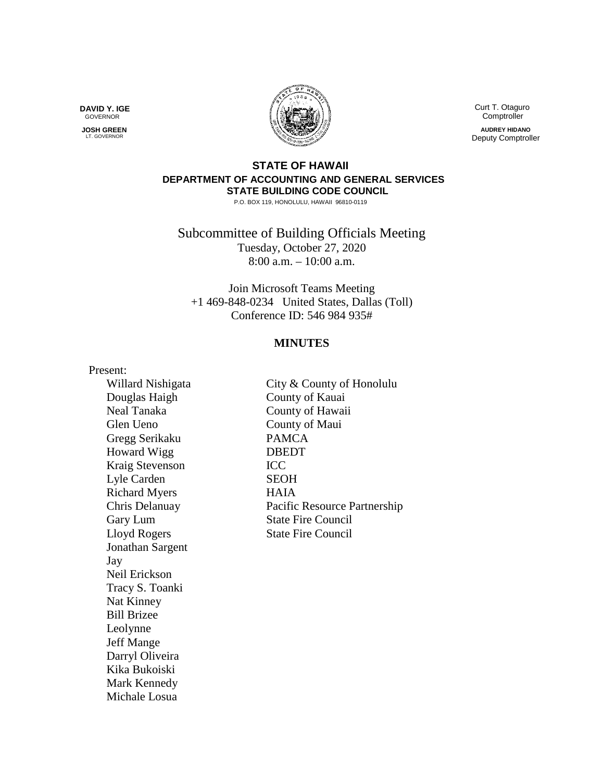**DAVID Y. IGE** GOVERNOR

 **JOSH GREEN LT. GOVERNOR** 



 Curt T. Otaguro **Comptroller** 

**AUDREY HIDANO** Deputy Comptroller

# **STATE OF HAWAII DEPARTMENT OF ACCOUNTING AND GENERAL SERVICES STATE BUILDING CODE COUNCIL**

P.O. BOX 119, HONOLULU, HAWAII 96810-0119

Subcommittee of Building Officials Meeting Tuesday, October 27, 2020 8:00 a.m. – 10:00 a.m.

Join Microsoft Teams Meeting +1 469-848-0234 United States, Dallas (Toll) Conference ID: 546 984 935#

## **MINUTES**

Present:

Douglas Haigh County of Kauai Glen Ueno County of Maui Gregg Serikaku PAMCA Howard Wigg DBEDT Kraig Stevenson ICC Lyle Carden SEOH Richard Myers HAIA Lloyd Rogers State Fire Council Jonathan Sargent Jay Neil Erickson Tracy S. Toanki Nat Kinney Bill Brizee Leolynne Jeff Mange Darryl Oliveira Kika Bukoiski Mark Kennedy Michale Losua

Willard Nishigata City & County of Honolulu Neal Tanaka County of Hawaii Chris Delanuay Pacific Resource Partnership Gary Lum State Fire Council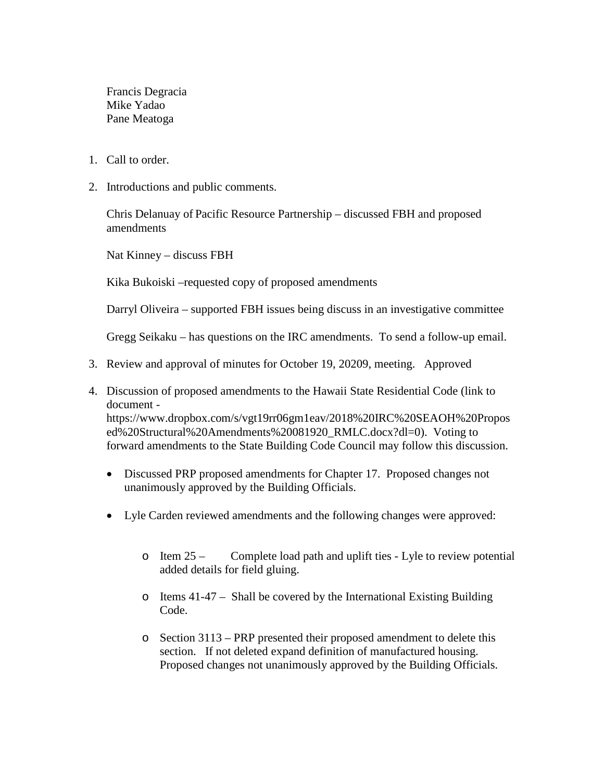Francis Degracia Mike Yadao Pane Meatoga

- 1. Call to order.
- 2. Introductions and public comments.

Chris Delanuay of Pacific Resource Partnership – discussed FBH and proposed amendments

Nat Kinney – discuss FBH

Kika Bukoiski –requested copy of proposed amendments

Darryl Oliveira – supported FBH issues being discuss in an investigative committee

Gregg Seikaku – has questions on the IRC amendments. To send a follow-up email.

- 3. Review and approval of minutes for October 19, 20209, meeting. Approved
- 4. Discussion of proposed amendments to the Hawaii State Residential Code (link to document https://www.dropbox.com/s/vgt19rr06gm1eav/2018%20IRC%20SEAOH%20Propos ed%20Structural%20Amendments%20081920\_RMLC.docx?dl=0). Voting to forward amendments to the State Building Code Council may follow this discussion.
	- Discussed PRP proposed amendments for Chapter 17. Proposed changes not unanimously approved by the Building Officials.
	- Lyle Carden reviewed amendments and the following changes were approved:
		- o Item 25 Complete load path and uplift ties Lyle to review potential added details for field gluing.
		- o Items 41-47 Shall be covered by the International Existing Building Code.
		- o Section 3113 PRP presented their proposed amendment to delete this section. If not deleted expand definition of manufactured housing. Proposed changes not unanimously approved by the Building Officials.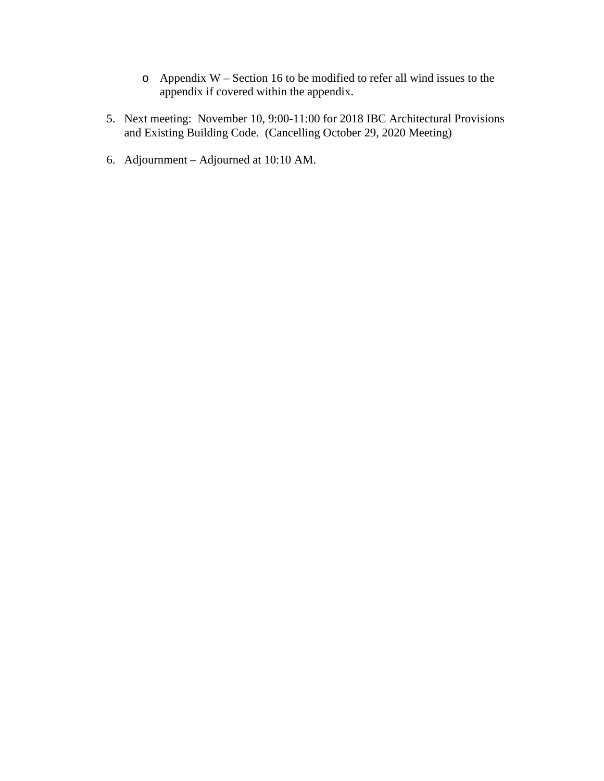- o Appendix W Section 16 to be modified to refer all wind issues to the appendix if covered within the appendix.
- 5. Next meeting: November 10, 9:00-11:00 for 2018 IBC Architectural Provisions and Existing Building Code. (Cancelling October 29, 2020 Meeting)
- 6. Adjournment Adjourned at 10:10 AM.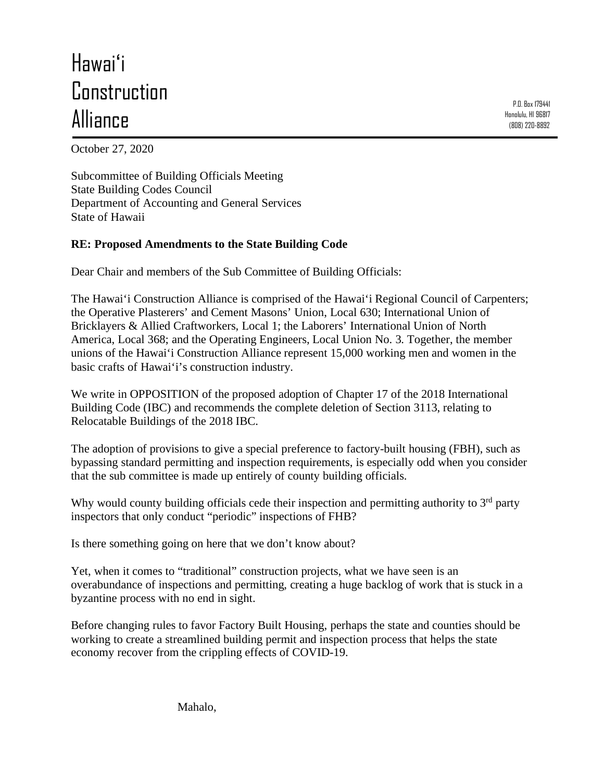# Hawaiʻi **Construction** Alliance

P.O. Box 179441 Honolulu, HI 96817 (808) 220-8892

October 27, 2020

Subcommittee of Building Officials Meeting State Building Codes Council Department of Accounting and General Services State of Hawaii

# **RE: Proposed Amendments to the State Building Code**

Dear Chair and members of the Sub Committee of Building Officials:

The Hawai'i Construction Alliance is comprised of the Hawai'i Regional Council of Carpenters; the Operative Plasterers' and Cement Masons' Union, Local 630; International Union of Bricklayers & Allied Craftworkers, Local 1; the Laborers' International Union of North America, Local 368; and the Operating Engineers, Local Union No. 3. Together, the member unions of the Hawai'i Construction Alliance represent 15,000 working men and women in the basic crafts of Hawai'i's construction industry.

We write in OPPOSITION of the proposed adoption of Chapter 17 of the 2018 International Building Code (IBC) and recommends the complete deletion of Section 3113, relating to Relocatable Buildings of the 2018 IBC.

The adoption of provisions to give a special preference to factory-built housing (FBH), such as bypassing standard permitting and inspection requirements, is especially odd when you consider that the sub committee is made up entirely of county building officials.

Why would county building officials cede their inspection and permitting authority to  $3<sup>rd</sup>$  party inspectors that only conduct "periodic" inspections of FHB?

Is there something going on here that we don't know about?

Yet, when it comes to "traditional" construction projects, what we have seen is an overabundance of inspections and permitting, creating a huge backlog of work that is stuck in a byzantine process with no end in sight.

Before changing rules to favor Factory Built Housing, perhaps the state and counties should be working to create a streamlined building permit and inspection process that helps the state economy recover from the crippling effects of COVID-19.

Mahalo,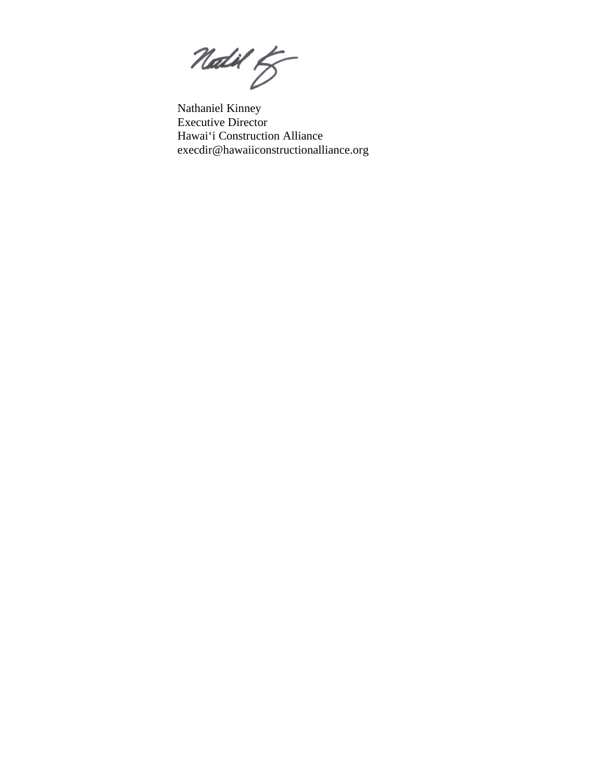Natil ty

Nathaniel Kinney Executive Director Hawai'i Construction Alliance execdir@hawaiiconstructionalliance.org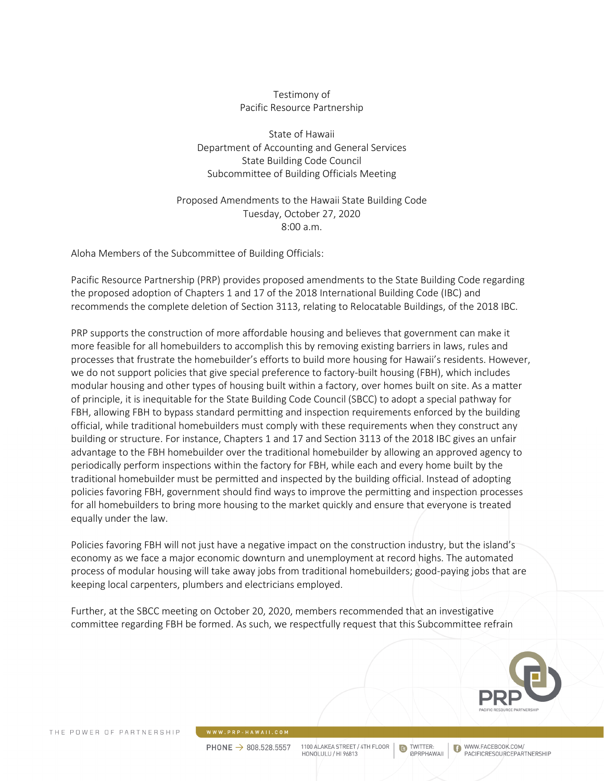#### Testimony of Pacific Resource Partnership

State of Hawaii Department of Accounting and General Services State Building Code Council Subcommittee of Building Officials Meeting

Proposed Amendments to the Hawaii State Building Code Tuesday, October 27, 2020 8:00 a.m.

Aloha Members of the Subcommittee of Building Officials:

Pacific Resource Partnership (PRP) provides proposed amendments to the State Building Code regarding the proposed adoption of Chapters 1 and 17 of the 2018 International Building Code (IBC) and recommends the complete deletion of Section 3113, relating to Relocatable Buildings, of the 2018 IBC.

PRP supports the construction of more affordable housing and believes that government can make it more feasible for all homebuilders to accomplish this by removing existing barriers in laws, rules and processes that frustrate the homebuilder's efforts to build more housing for Hawaii's residents. However, we do not support policies that give special preference to factory-built housing (FBH), which includes modular housing and other types of housing built within a factory, over homes built on site. As a matter of principle, it is inequitable for the State Building Code Council (SBCC) to adopt a special pathway for FBH, allowing FBH to bypass standard permitting and inspection requirements enforced by the building official, while traditional homebuilders must comply with these requirements when they construct any building or structure. For instance, Chapters 1 and 17 and Section 3113 of the 2018 IBC gives an unfair advantage to the FBH homebuilder over the traditional homebuilder by allowing an approved agency to periodically perform inspections within the factory for FBH, while each and every home built by the traditional homebuilder must be permitted and inspected by the building official. Instead of adopting policies favoring FBH, government should find ways to improve the permitting and inspection processes for all homebuilders to bring more housing to the market quickly and ensure that everyone is treated equally under the law.

Policies favoring FBH will not just have a negative impact on the construction industry, but the island's economy as we face a major economic downturn and unemployment at record highs. The automated process of modular housing will take away jobs from traditional homebuilders; good-paying jobs that are keeping local carpenters, plumbers and electricians employed.

Further, at the SBCC meeting on October 20, 2020, members recommended that an investigative committee regarding FBH be formed. As such, we respectfully request that this Subcommittee refrain



PHONE  $\rightarrow$  808.528.5557

1100 ALAKEA STREET / 4TH FLOOR HONOLULU / HL96813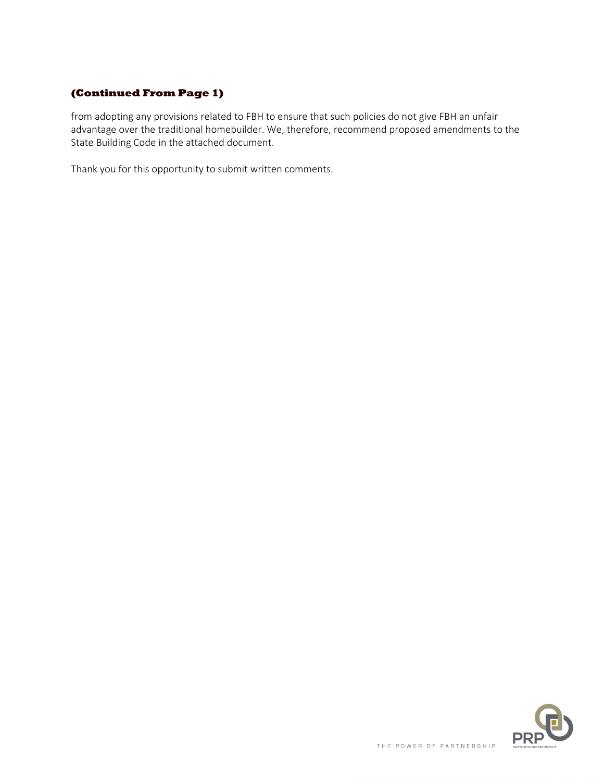# **(Continued From Page 1)**

from adopting any provisions related to FBH to ensure that such policies do not give FBH an unfair advantage over the traditional homebuilder. We, therefore, recommend proposed amendments to the State Building Code in the attached document.

Thank you for this opportunity to submit written comments.

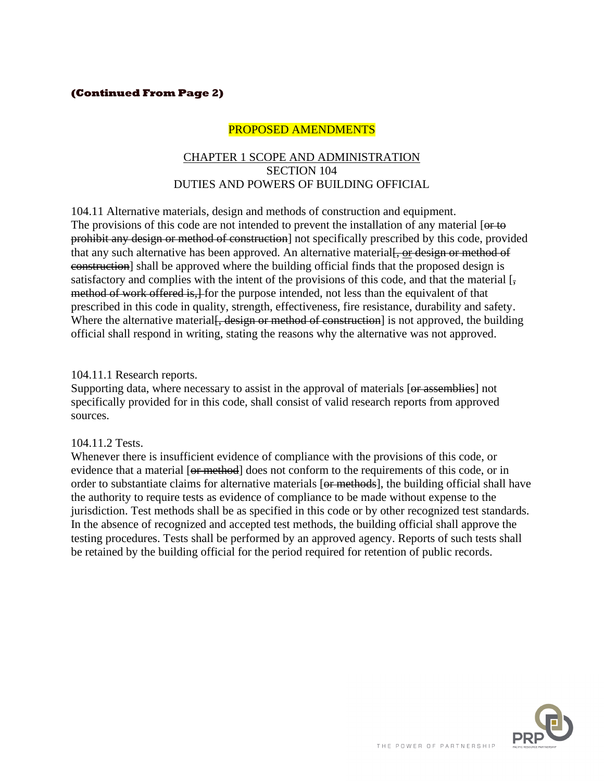## **(Continued From Page 2)**

# PROPOSED AMENDMENTS

#### CHAPTER 1 SCOPE AND ADMINISTRATION SECTION 104 DUTIES AND POWERS OF BUILDING OFFICIAL

104.11 Alternative materials, design and methods of construction and equipment. The provisions of this code are not intended to prevent the installation of any material [or to prohibit any design or method of construction] not specifically prescribed by this code, provided that any such alternative has been approved. An alternative material<del>, or design or method of</del> construction] shall be approved where the building official finds that the proposed design is satisfactory and complies with the intent of the provisions of this code, and that the material  $\left[\frac{1}{2}, \frac{1}{2}\right]$ method of work offered is, for the purpose intended, not less than the equivalent of that prescribed in this code in quality, strength, effectiveness, fire resistance, durability and safety. Where the alternative material<del>, design or method of construction</del> is not approved, the building official shall respond in writing, stating the reasons why the alternative was not approved.

#### 104.11.1 Research reports.

Supporting data, where necessary to assist in the approval of materials [or assemblies] not specifically provided for in this code, shall consist of valid research reports from approved sources.

#### 104.11.2 Tests.

Whenever there is insufficient evidence of compliance with the provisions of this code, or evidence that a material [or method] does not conform to the requirements of this code, or in order to substantiate claims for alternative materials [or methods], the building official shall have the authority to require tests as evidence of compliance to be made without expense to the jurisdiction. Test methods shall be as specified in this code or by other recognized test standards. In the absence of recognized and accepted test methods, the building official shall approve the testing procedures. Tests shall be performed by an approved agency. Reports of such tests shall be retained by the building official for the period required for retention of public records.

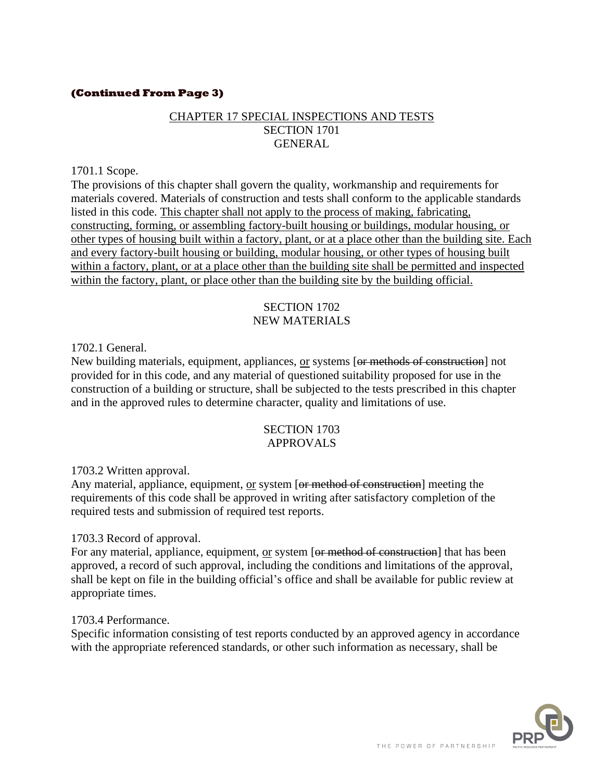## **(Continued From Page 3)**

# CHAPTER 17 SPECIAL INSPECTIONS AND TESTS SECTION 1701 GENERAL

#### 1701.1 Scope.

The provisions of this chapter shall govern the quality, workmanship and requirements for materials covered. Materials of construction and tests shall conform to the applicable standards listed in this code. This chapter shall not apply to the process of making, fabricating, constructing, forming, or assembling factory-built housing or buildings, modular housing, or other types of housing built within a factory, plant, or at a place other than the building site. Each and every factory-built housing or building, modular housing, or other types of housing built within a factory, plant, or at a place other than the building site shall be permitted and inspected within the factory, plant, or place other than the building site by the building official.

#### SECTION 1702 NEW MATERIALS

1702.1 General.

New building materials, equipment, appliances, or systems [or methods of construction] not provided for in this code, and any material of questioned suitability proposed for use in the construction of a building or structure, shall be subjected to the tests prescribed in this chapter and in the approved rules to determine character, quality and limitations of use.

#### SECTION 1703 APPROVALS

1703.2 Written approval.

Any material, appliance, equipment, or system [or method of construction] meeting the requirements of this code shall be approved in writing after satisfactory completion of the required tests and submission of required test reports.

#### 1703.3 Record of approval.

For any material, appliance, equipment, or system [or method of construction] that has been approved, a record of such approval, including the conditions and limitations of the approval, shall be kept on file in the building official's office and shall be available for public review at appropriate times.

#### 1703.4 Performance.

Specific information consisting of test reports conducted by an approved agency in accordance with the appropriate referenced standards, or other such information as necessary, shall be

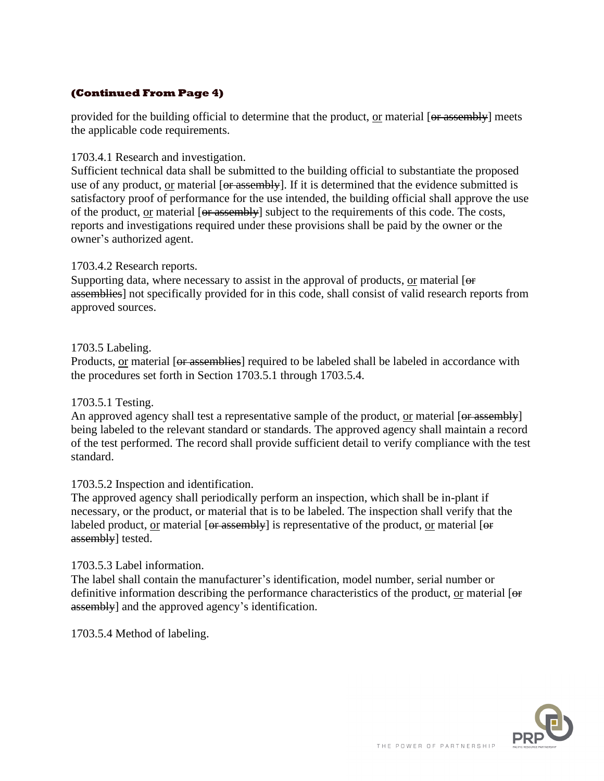# **(Continued From Page 4)**

provided for the building official to determine that the product, or material [or assembly] meets the applicable code requirements.

## 1703.4.1 Research and investigation.

Sufficient technical data shall be submitted to the building official to substantiate the proposed use of any product, or material [or assembly]. If it is determined that the evidence submitted is satisfactory proof of performance for the use intended, the building official shall approve the use of the product, or material [or assembly] subject to the requirements of this code. The costs, reports and investigations required under these provisions shall be paid by the owner or the owner's authorized agent.

## 1703.4.2 Research reports.

Supporting data, where necessary to assist in the approval of products, or material [ $\Theta$ f assemblies] not specifically provided for in this code, shall consist of valid research reports from approved sources.

## 1703.5 Labeling.

Products, or material [or assemblies] required to be labeled shall be labeled in accordance with the procedures set forth in Section 1703.5.1 through 1703.5.4.

#### 1703.5.1 Testing.

An approved agency shall test a representative sample of the product, or material [or assembly] being labeled to the relevant standard or standards. The approved agency shall maintain a record of the test performed. The record shall provide sufficient detail to verify compliance with the test standard.

#### 1703.5.2 Inspection and identification.

The approved agency shall periodically perform an inspection, which shall be in-plant if necessary, or the product, or material that is to be labeled. The inspection shall verify that the labeled product, or material [or assembly] is representative of the product, or material [or assembly] tested.

#### 1703.5.3 Label information.

The label shall contain the manufacturer's identification, model number, serial number or definitive information describing the performance characteristics of the product, or material [or assembly] and the approved agency's identification.

1703.5.4 Method of labeling.

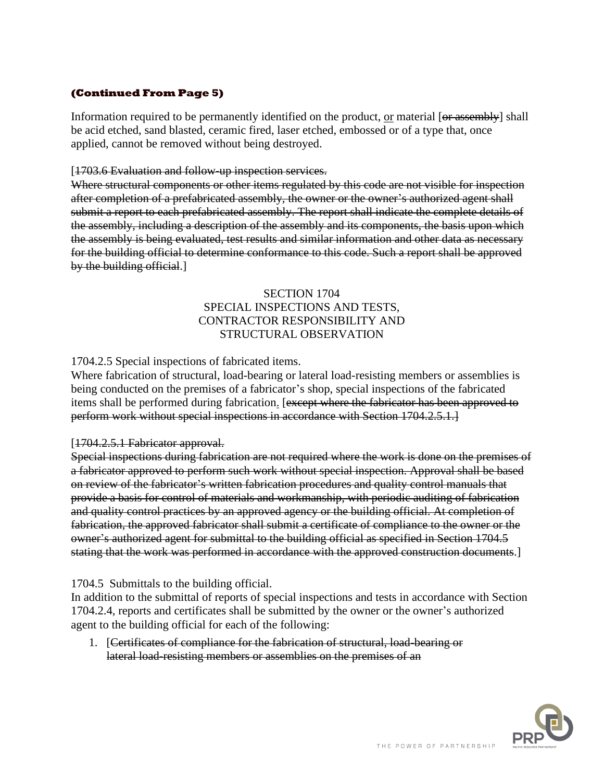# **(Continued From Page 5)**

Information required to be permanently identified on the product, or material [or assembly] shall be acid etched, sand blasted, ceramic fired, laser etched, embossed or of a type that, once applied, cannot be removed without being destroyed.

#### [1703.6 Evaluation and follow-up inspection services.

Where structural components or other items regulated by this code are not visible for inspection after completion of a prefabricated assembly, the owner or the owner's authorized agent shall submit a report to each prefabricated assembly. The report shall indicate the complete details of the assembly, including a description of the assembly and its components, the basis upon which the assembly is being evaluated, test results and similar information and other data as necessary for the building official to determine conformance to this code. Such a report shall be approved by the building official.]

## SECTION 1704 SPECIAL INSPECTIONS AND TESTS, CONTRACTOR RESPONSIBILITY AND STRUCTURAL OBSERVATION

#### 1704.2.5 Special inspections of fabricated items.

Where fabrication of structural, load-bearing or lateral load-resisting members or assemblies is being conducted on the premises of a fabricator's shop, special inspections of the fabricated items shall be performed during fabrication. [except where the fabricator has been approved to perform work without special inspections in accordance with Section 1704.2.5.1.]

#### [1704.2.5.1 Fabricator approval.

Special inspections during fabrication are not required where the work is done on the premises of a fabricator approved to perform such work without special inspection. Approval shall be based on review of the fabricator's written fabrication procedures and quality control manuals that provide a basis for control of materials and workmanship, with periodic auditing of fabrication and quality control practices by an approved agency or the building official. At completion of fabrication, the approved fabricator shall submit a certificate of compliance to the owner or the owner's authorized agent for submittal to the building official as specified in Section 1704.5 stating that the work was performed in accordance with the approved construction documents.]

#### 1704.5 Submittals to the building official.

In addition to the submittal of reports of special inspections and tests in accordance with Section 1704.2.4, reports and certificates shall be submitted by the owner or the owner's authorized agent to the building official for each of the following:

1. [Certificates of compliance for the fabrication of structural, load-bearing or lateral load-resisting members or assemblies on the premises of an

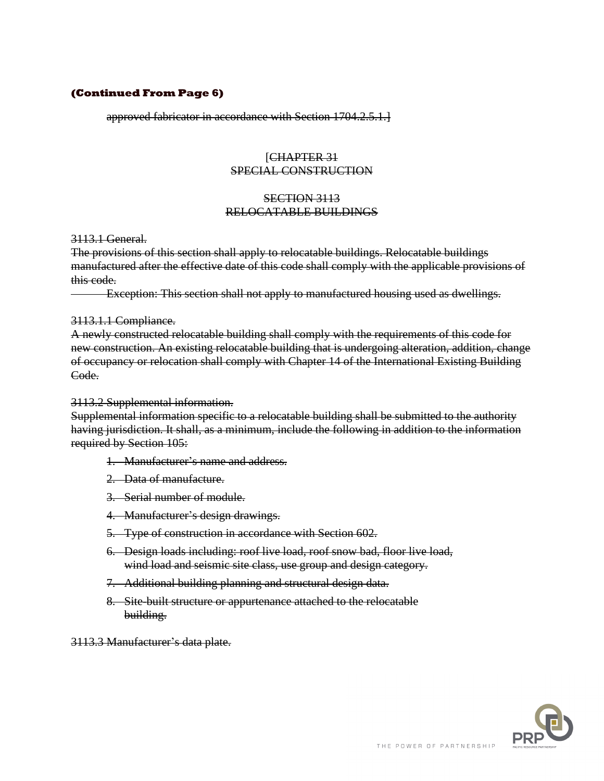#### **(Continued From Page 6)**

approved fabricator in accordance with Section 1704.2.5.1.]

## [CHAPTER 31 SPECIAL CONSTRUCTION

## SECTION 3113 RELOCATABLE BUILDINGS

3113.1 General.

The provisions of this section shall apply to relocatable buildings. Relocatable buildings manufactured after the effective date of this code shall comply with the applicable provisions of this code.

Exception: This section shall not apply to manufactured housing used as dwellings.

#### 3113.1.1 Compliance.

A newly constructed relocatable building shall comply with the requirements of this code for new construction. An existing relocatable building that is undergoing alteration, addition, change of occupancy or relocation shall comply with Chapter 14 of the International Existing Building Code.

#### 3113.2 Supplemental information.

Supplemental information specific to a relocatable building shall be submitted to the authority having jurisdiction. It shall, as a minimum, include the following in addition to the information required by Section 105:

- 1. Manufacturer's name and address.
- 2. Data of manufacture.
- 3. Serial number of module.
- 4. Manufacturer's design drawings.
- 5. Type of construction in accordance with Section 602.
- 6. Design loads including: roof live load, roof snow bad, floor live load, wind load and seismic site class, use group and design category.
- 7. Additional building planning and structural design data.
- 8. Site-built structure or appurtenance attached to the relocatable building.

3113.3 Manufacturer's data plate.